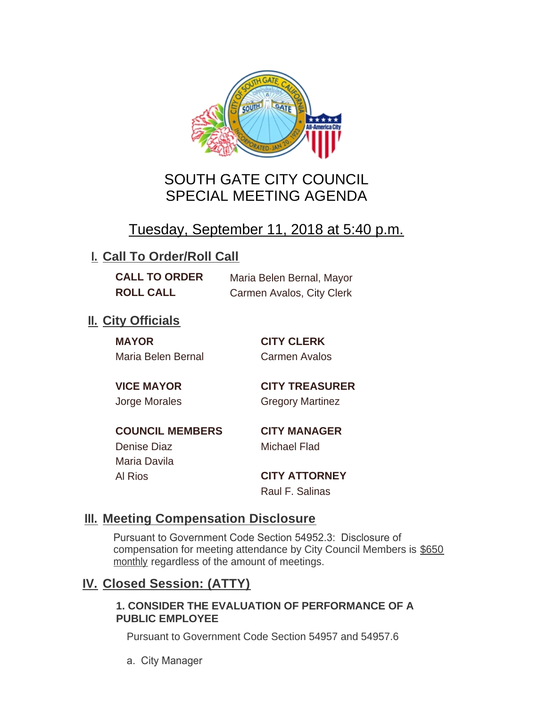

# SOUTH GATE CITY COUNCIL SPECIAL MEETING AGENDA

# Tuesday, September 11, 2018 at 5:40 p.m.

## **I. Call To Order/Roll Call**

**CALL TO ORDER** Maria Belen Bernal, Mayor **ROLL CALL** Carmen Avalos, City Clerk

## **II.** City Officials

**MAYOR CITY CLERK** Maria Belen Bernal Carmen Avalos

**VICE MAYOR CITY TREASURER** Jorge Morales Gregory Martinez

**COUNCIL MEMBERS CITY MANAGER** Denise Diaz Michael Flad

Maria Davila

Al Rios **CITY ATTORNEY** Raul F. Salinas

### **Meeting Compensation Disclosure III.**

Pursuant to Government Code Section 54952.3: Disclosure of compensation for meeting attendance by City Council Members is \$650 monthly regardless of the amount of meetings.

### **Closed Session: (ATTY) IV.**

#### **1. CONSIDER THE EVALUATION OF PERFORMANCE OF A PUBLIC EMPLOYEE**

Pursuant to Government Code Section 54957 and 54957.6

a. City Manager